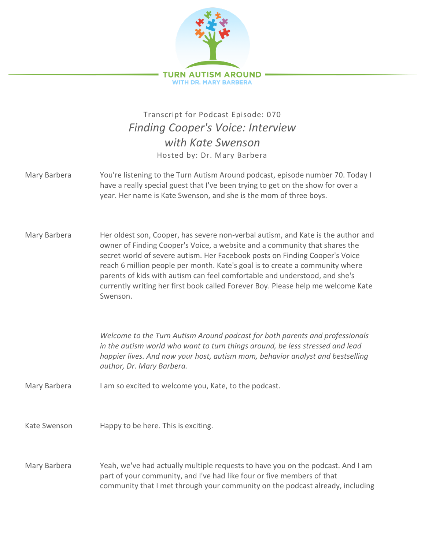

## Transcript for Podcast Episode: 070 *Finding Cooper's Voice: Interview with Kate Swenson* Hosted by: Dr. Mary Barbera

| Mary Barbera | You're listening to the Turn Autism Around podcast, episode number 70. Today I  |
|--------------|---------------------------------------------------------------------------------|
|              | have a really special guest that I've been trying to get on the show for over a |
|              | year. Her name is Kate Swenson, and she is the mom of three boys.               |

Mary Barbera Her oldest son, Cooper, has severe non-verbal autism, and Kate is the author and owner of Finding Cooper's Voice, a website and a community that shares the secret world of severe autism. Her Facebook posts on Finding Cooper's Voice reach 6 million people per month. Kate's goal is to create a community where parents of kids with autism can feel comfortable and understood, and she's currently writing her first book called Forever Boy. Please help me welcome Kate Swenson.

> *Welcome to the Turn Autism Around podcast for both parents and professionals in the autism world who want to turn things around, be less stressed and lead happier lives. And now your host, autism mom, behavior analyst and bestselling author, Dr. Mary Barbera.*

Mary Barbera I am so excited to welcome you, Kate, to the podcast.

Kate Swenson Happy to be here. This is exciting.

Mary Barbera Yeah, we've had actually multiple requests to have you on the podcast. And I am part of your community, and I've had like four or five members of that community that I met through your community on the podcast already, including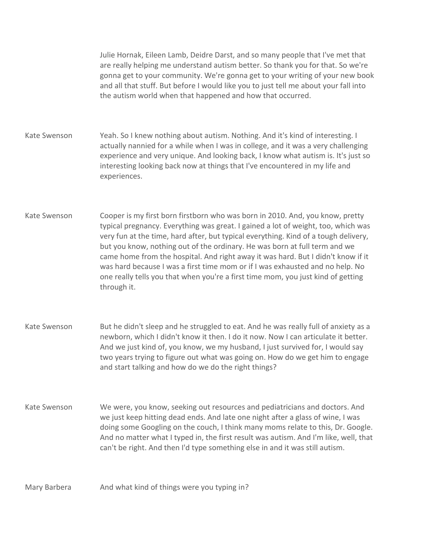Julie Hornak, Eileen Lamb, Deidre Darst, and so many people that I've met that are really helping me understand autism better. So thank you for that. So we're gonna get to your community. We're gonna get to your writing of your new book and all that stuff. But before I would like you to just tell me about your fall into the autism world when that happened and how that occurred.

Kate Swenson Yeah. So I knew nothing about autism. Nothing. And it's kind of interesting. I actually nannied for a while when I was in college, and it was a very challenging experience and very unique. And looking back, I know what autism is. It's just so interesting looking back now at things that I've encountered in my life and experiences.

- Kate Swenson Cooper is my first born firstborn who was born in 2010. And, you know, pretty typical pregnancy. Everything was great. I gained a lot of weight, too, which was very fun at the time, hard after, but typical everything. Kind of a tough delivery, but you know, nothing out of the ordinary. He was born at full term and we came home from the hospital. And right away it was hard. But I didn't know if it was hard because I was a first time mom or if I was exhausted and no help. No one really tells you that when you're a first time mom, you just kind of getting through it.
- Kate Swenson But he didn't sleep and he struggled to eat. And he was really full of anxiety as a newborn, which I didn't know it then. I do it now. Now I can articulate it better. And we just kind of, you know, we my husband, I just survived for, I would say two years trying to figure out what was going on. How do we get him to engage and start talking and how do we do the right things?
- Kate Swenson We were, you know, seeking out resources and pediatricians and doctors. And we just keep hitting dead ends. And late one night after a glass of wine, I was doing some Googling on the couch, I think many moms relate to this, Dr. Google. And no matter what I typed in, the first result was autism. And I'm like, well, that can't be right. And then I'd type something else in and it was still autism.

Mary Barbera And what kind of things were you typing in?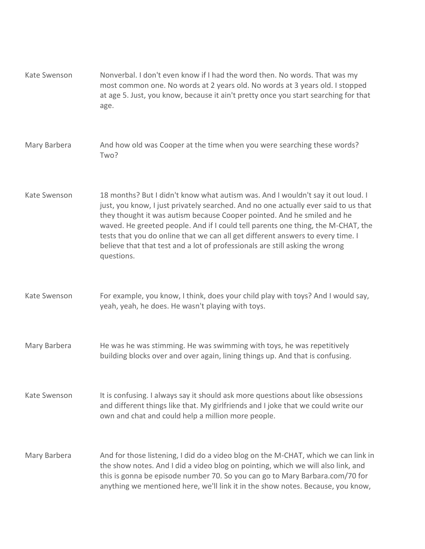| Kate Swenson | Nonverbal. I don't even know if I had the word then. No words. That was my<br>most common one. No words at 2 years old. No words at 3 years old. I stopped<br>at age 5. Just, you know, because it ain't pretty once you start searching for that<br>age.                                                                                                                                                                                                                                                              |
|--------------|------------------------------------------------------------------------------------------------------------------------------------------------------------------------------------------------------------------------------------------------------------------------------------------------------------------------------------------------------------------------------------------------------------------------------------------------------------------------------------------------------------------------|
| Mary Barbera | And how old was Cooper at the time when you were searching these words?<br>Two?                                                                                                                                                                                                                                                                                                                                                                                                                                        |
| Kate Swenson | 18 months? But I didn't know what autism was. And I wouldn't say it out loud. I<br>just, you know, I just privately searched. And no one actually ever said to us that<br>they thought it was autism because Cooper pointed. And he smiled and he<br>waved. He greeted people. And if I could tell parents one thing, the M-CHAT, the<br>tests that you do online that we can all get different answers to every time. I<br>believe that that test and a lot of professionals are still asking the wrong<br>questions. |
| Kate Swenson | For example, you know, I think, does your child play with toys? And I would say,<br>yeah, yeah, he does. He wasn't playing with toys.                                                                                                                                                                                                                                                                                                                                                                                  |
| Mary Barbera | He was he was stimming. He was swimming with toys, he was repetitively<br>building blocks over and over again, lining things up. And that is confusing.                                                                                                                                                                                                                                                                                                                                                                |
| Kate Swenson | It is confusing. I always say it should ask more questions about like obsessions<br>and different things like that. My girlfriends and I joke that we could write our<br>own and chat and could help a million more people.                                                                                                                                                                                                                                                                                            |
| Mary Barbera | And for those listening, I did do a video blog on the M-CHAT, which we can link in<br>the show notes. And I did a video blog on pointing, which we will also link, and<br>this is gonna be episode number 70. So you can go to Mary Barbara.com/70 for<br>anything we mentioned here, we'll link it in the show notes. Because, you know,                                                                                                                                                                              |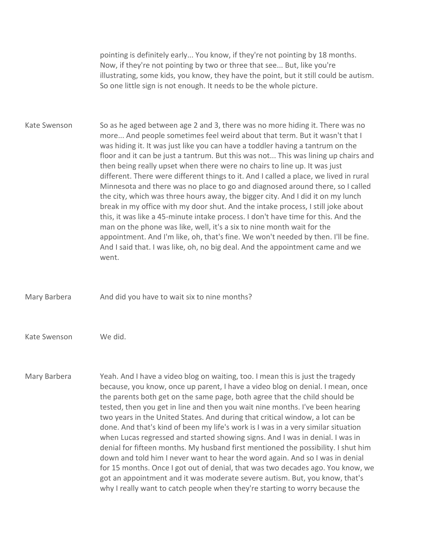pointing is definitely early... You know, if they're not pointing by 18 months. Now, if they're not pointing by two or three that see... But, like you're illustrating, some kids, you know, they have the point, but it still could be autism. So one little sign is not enough. It needs to be the whole picture.

Kate Swenson So as he aged between age 2 and 3, there was no more hiding it. There was no more... And people sometimes feel weird about that term. But it wasn't that I was hiding it. It was just like you can have a toddler having a tantrum on the floor and it can be just a tantrum. But this was not... This was lining up chairs and then being really upset when there were no chairs to line up. It was just different. There were different things to it. And I called a place, we lived in rural Minnesota and there was no place to go and diagnosed around there, so I called the city, which was three hours away, the bigger city. And I did it on my lunch break in my office with my door shut. And the intake process, I still joke about this, it was like a 45-minute intake process. I don't have time for this. And the man on the phone was like, well, it's a six to nine month wait for the appointment. And I'm like, oh, that's fine. We won't needed by then. I'll be fine. And I said that. I was like, oh, no big deal. And the appointment came and we went.

Mary Barbera And did you have to wait six to nine months?

Kate Swenson We did.

Mary Barbera Yeah. And I have a video blog on waiting, too. I mean this is just the tragedy because, you know, once up parent, I have a video blog on denial. I mean, once the parents both get on the same page, both agree that the child should be tested, then you get in line and then you wait nine months. I've been hearing two years in the United States. And during that critical window, a lot can be done. And that's kind of been my life's work is I was in a very similar situation when Lucas regressed and started showing signs. And I was in denial. I was in denial for fifteen months. My husband first mentioned the possibility. I shut him down and told him I never want to hear the word again. And so I was in denial for 15 months. Once I got out of denial, that was two decades ago. You know, we got an appointment and it was moderate severe autism. But, you know, that's why I really want to catch people when they're starting to worry because the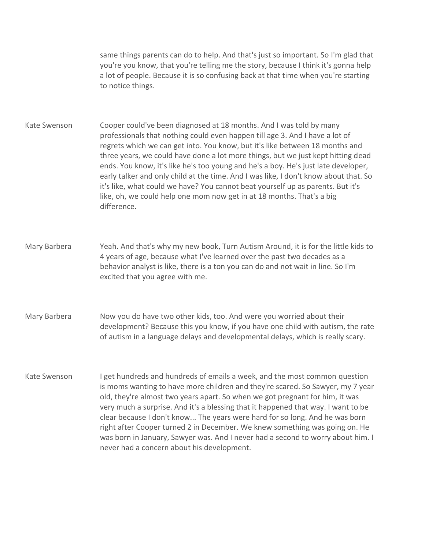same things parents can do to help. And that's just so important. So I'm glad that you're you know, that you're telling me the story, because I think it's gonna help a lot of people. Because it is so confusing back at that time when you're starting to notice things.

Kate Swenson Cooper could've been diagnosed at 18 months. And I was told by many professionals that nothing could even happen till age 3. And I have a lot of regrets which we can get into. You know, but it's like between 18 months and three years, we could have done a lot more things, but we just kept hitting dead ends. You know, it's like he's too young and he's a boy. He's just late developer, early talker and only child at the time. And I was like, I don't know about that. So it's like, what could we have? You cannot beat yourself up as parents. But it's like, oh, we could help one mom now get in at 18 months. That's a big difference.

Mary Barbera Yeah. And that's why my new book, Turn Autism Around, it is for the little kids to 4 years of age, because what I've learned over the past two decades as a behavior analyst is like, there is a ton you can do and not wait in line. So I'm excited that you agree with me.

Mary Barbera Now you do have two other kids, too. And were you worried about their development? Because this you know, if you have one child with autism, the rate of autism in a language delays and developmental delays, which is really scary.

Kate Swenson I get hundreds and hundreds of emails a week, and the most common question is moms wanting to have more children and they're scared. So Sawyer, my 7 year old, they're almost two years apart. So when we got pregnant for him, it was very much a surprise. And it's a blessing that it happened that way. I want to be clear because I don't know... The years were hard for so long. And he was born right after Cooper turned 2 in December. We knew something was going on. He was born in January, Sawyer was. And I never had a second to worry about him. I never had a concern about his development.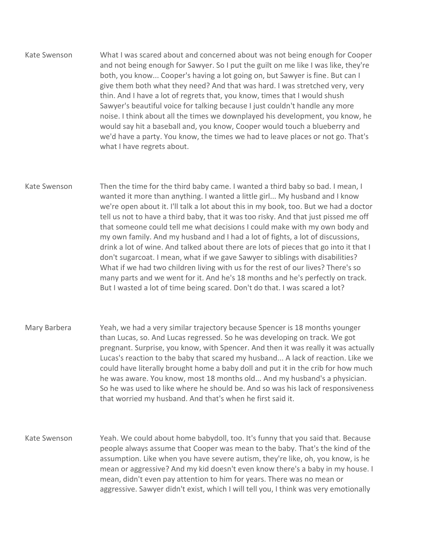- Kate Swenson What I was scared about and concerned about was not being enough for Cooper and not being enough for Sawyer. So I put the guilt on me like I was like, they're both, you know... Cooper's having a lot going on, but Sawyer is fine. But can I give them both what they need? And that was hard. I was stretched very, very thin. And I have a lot of regrets that, you know, times that I would shush Sawyer's beautiful voice for talking because I just couldn't handle any more noise. I think about all the times we downplayed his development, you know, he would say hit a baseball and, you know, Cooper would touch a blueberry and we'd have a party. You know, the times we had to leave places or not go. That's what I have regrets about.
- Kate Swenson Then the time for the third baby came. I wanted a third baby so bad. I mean, I wanted it more than anything. I wanted a little girl... My husband and I know we're open about it. I'll talk a lot about this in my book, too. But we had a doctor tell us not to have a third baby, that it was too risky. And that just pissed me off that someone could tell me what decisions I could make with my own body and my own family. And my husband and I had a lot of fights, a lot of discussions, drink a lot of wine. And talked about there are lots of pieces that go into it that I don't sugarcoat. I mean, what if we gave Sawyer to siblings with disabilities? What if we had two children living with us for the rest of our lives? There's so many parts and we went for it. And he's 18 months and he's perfectly on track. But I wasted a lot of time being scared. Don't do that. I was scared a lot?
- Mary Barbera Yeah, we had a very similar trajectory because Spencer is 18 months younger than Lucas, so. And Lucas regressed. So he was developing on track. We got pregnant. Surprise, you know, with Spencer. And then it was really it was actually Lucas's reaction to the baby that scared my husband... A lack of reaction. Like we could have literally brought home a baby doll and put it in the crib for how much he was aware. You know, most 18 months old... And my husband's a physician. So he was used to like where he should be. And so was his lack of responsiveness that worried my husband. And that's when he first said it.
- Kate Swenson Yeah. We could about home babydoll, too. It's funny that you said that. Because people always assume that Cooper was mean to the baby. That's the kind of the assumption. Like when you have severe autism, they're like, oh, you know, is he mean or aggressive? And my kid doesn't even know there's a baby in my house. I mean, didn't even pay attention to him for years. There was no mean or aggressive. Sawyer didn't exist, which I will tell you, I think was very emotionally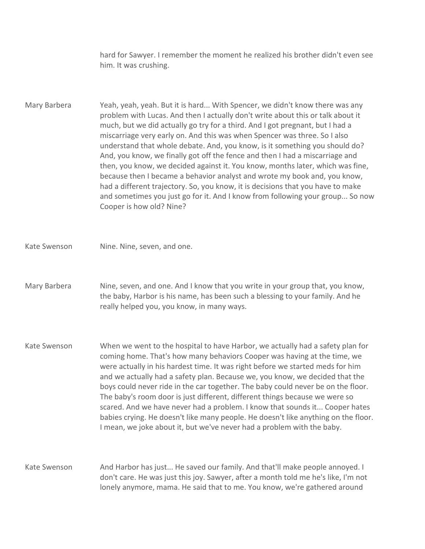hard for Sawyer. I remember the moment he realized his brother didn't even see him. It was crushing.

Mary Barbera Yeah, yeah, yeah. But it is hard... With Spencer, we didn't know there was any problem with Lucas. And then I actually don't write about this or talk about it much, but we did actually go try for a third. And I got pregnant, but I had a miscarriage very early on. And this was when Spencer was three. So I also understand that whole debate. And, you know, is it something you should do? And, you know, we finally got off the fence and then I had a miscarriage and then, you know, we decided against it. You know, months later, which was fine, because then I became a behavior analyst and wrote my book and, you know, had a different trajectory. So, you know, it is decisions that you have to make and sometimes you just go for it. And I know from following your group... So now Cooper is how old? Nine?

Kate Swenson Nine. Nine, seven, and one.

Mary Barbera Nine, seven, and one. And I know that you write in your group that, you know, the baby, Harbor is his name, has been such a blessing to your family. And he really helped you, you know, in many ways.

Kate Swenson When we went to the hospital to have Harbor, we actually had a safety plan for coming home. That's how many behaviors Cooper was having at the time, we were actually in his hardest time. It was right before we started meds for him and we actually had a safety plan. Because we, you know, we decided that the boys could never ride in the car together. The baby could never be on the floor. The baby's room door is just different, different things because we were so scared. And we have never had a problem. I know that sounds it... Cooper hates babies crying. He doesn't like many people. He doesn't like anything on the floor. I mean, we joke about it, but we've never had a problem with the baby.

Kate Swenson And Harbor has just... He saved our family. And that'll make people annoyed. I don't care. He was just this joy. Sawyer, after a month told me he's like, I'm not lonely anymore, mama. He said that to me. You know, we're gathered around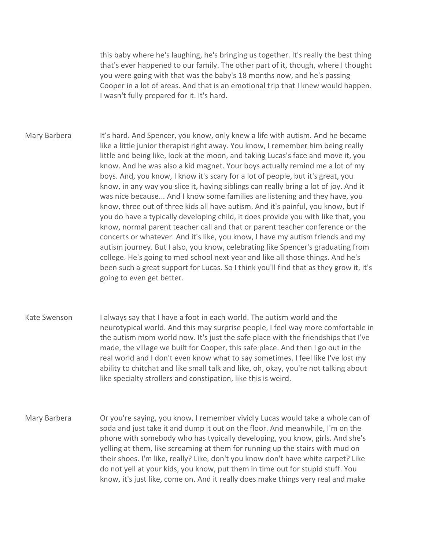this baby where he's laughing, he's bringing us together. It's really the best thing that's ever happened to our family. The other part of it, though, where I thought you were going with that was the baby's 18 months now, and he's passing Cooper in a lot of areas. And that is an emotional trip that I knew would happen. I wasn't fully prepared for it. It's hard.

Mary Barbera It's hard. And Spencer, you know, only knew a life with autism. And he became like a little junior therapist right away. You know, I remember him being really little and being like, look at the moon, and taking Lucas's face and move it, you know. And he was also a kid magnet. Your boys actually remind me a lot of my boys. And, you know, I know it's scary for a lot of people, but it's great, you know, in any way you slice it, having siblings can really bring a lot of joy. And it was nice because... And I know some families are listening and they have, you know, three out of three kids all have autism. And it's painful, you know, but if you do have a typically developing child, it does provide you with like that, you know, normal parent teacher call and that or parent teacher conference or the concerts or whatever. And it's like, you know, I have my autism friends and my autism journey. But I also, you know, celebrating like Spencer's graduating from college. He's going to med school next year and like all those things. And he's been such a great support for Lucas. So I think you'll find that as they grow it, it's going to even get better.

- Kate Swenson I always say that I have a foot in each world. The autism world and the neurotypical world. And this may surprise people, I feel way more comfortable in the autism mom world now. It's just the safe place with the friendships that I've made, the village we built for Cooper, this safe place. And then I go out in the real world and I don't even know what to say sometimes. I feel like I've lost my ability to chitchat and like small talk and like, oh, okay, you're not talking about like specialty strollers and constipation, like this is weird.
- Mary Barbera Or you're saying, you know, I remember vividly Lucas would take a whole can of soda and just take it and dump it out on the floor. And meanwhile, I'm on the phone with somebody who has typically developing, you know, girls. And she's yelling at them, like screaming at them for running up the stairs with mud on their shoes. I'm like, really? Like, don't you know don't have white carpet? Like do not yell at your kids, you know, put them in time out for stupid stuff. You know, it's just like, come on. And it really does make things very real and make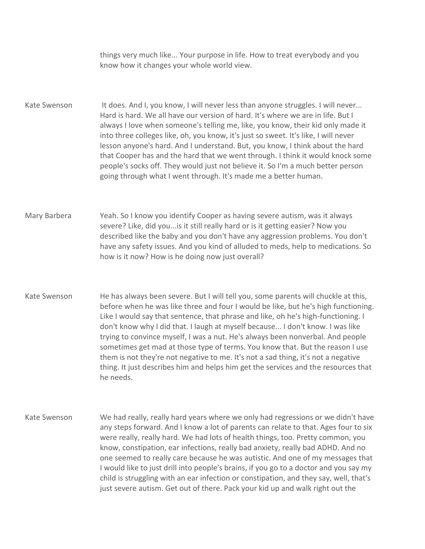things very much like... Your purpose in life. How to treat everybody and you know how it changes your whole world view.

Kate Swenson It does. And I, you know, I will never less than anyone struggles. I will never... Hard is hard. We all have our version of hard. It's where we are in life. But I always I love when someone's telling me, like, you know, their kid only made it into three colleges like, oh, you know, it's just so sweet. It's like, I will never lesson anyone's hard. And I understand. But, you know, I think about the hard that Cooper has and the hard that we went through. I think it would knock some people's socks off. They would just not believe it. So I'm a much better person going through what I went through. It's made me a better human.

Mary Barbera Yeah. So I know you identify Cooper as having severe autism, was it always severe? Like, did you...is it still really hard or is it getting easier? Now you described like the baby and you don't have any aggression problems. You don't have any safety issues. And you kind of alluded to meds, help to medications. So how is it now? How is he doing now just overall?

Kate Swenson He has always been severe. But I will tell you, some parents will chuckle at this, before when he was like three and four I would be like, but he's high functioning. Like I would say that sentence, that phrase and like, oh he's high-functioning. I don't know why I did that. I laugh at myself because... I don't know. I was like trying to convince myself, I was a nut. He's always been nonverbal. And people sometimes get mad at those type of terms. You know that. But the reason I use them is not they're not negative to me. It's not a sad thing, it's not a negative thing. It just describes him and helps him get the services and the resources that he needs.

Kate Swenson We had really, really hard years where we only had regressions or we didn't have any steps forward. And I know a lot of parents can relate to that. Ages four to six were really, really hard. We had lots of health things, too. Pretty common, you know, constipation, ear infections, really bad anxiety, really bad ADHD. And no one seemed to really care because he was autistic. And one of my messages that I would like to just drill into people's brains, if you go to a doctor and you say my child is struggling with an ear infection or constipation, and they say, well, that's just severe autism. Get out of there. Pack your kid up and walk right out the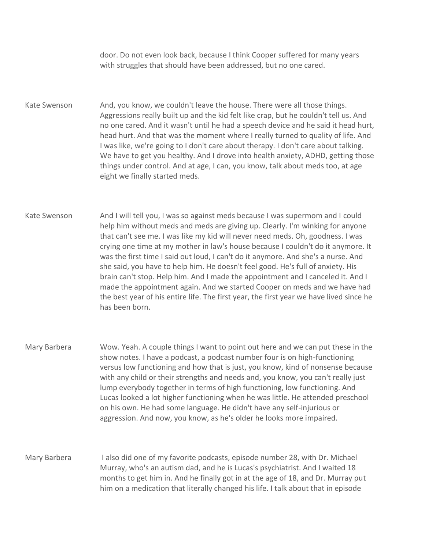door. Do not even look back, because I think Cooper suffered for many years with struggles that should have been addressed, but no one cared.

Kate Swenson And, you know, we couldn't leave the house. There were all those things. Aggressions really built up and the kid felt like crap, but he couldn't tell us. And no one cared. And it wasn't until he had a speech device and he said it head hurt, head hurt. And that was the moment where I really turned to quality of life. And I was like, we're going to I don't care about therapy. I don't care about talking. We have to get you healthy. And I drove into health anxiety, ADHD, getting those things under control. And at age, I can, you know, talk about meds too, at age eight we finally started meds.

- Kate Swenson And I will tell you, I was so against meds because I was supermom and I could help him without meds and meds are giving up. Clearly. I'm winking for anyone that can't see me. I was like my kid will never need meds. Oh, goodness. I was crying one time at my mother in law's house because I couldn't do it anymore. It was the first time I said out loud, I can't do it anymore. And she's a nurse. And she said, you have to help him. He doesn't feel good. He's full of anxiety. His brain can't stop. Help him. And I made the appointment and I canceled it. And I made the appointment again. And we started Cooper on meds and we have had the best year of his entire life. The first year, the first year we have lived since he has been born.
- Mary Barbera Wow. Yeah. A couple things I want to point out here and we can put these in the show notes. I have a podcast, a podcast number four is on high-functioning versus low functioning and how that is just, you know, kind of nonsense because with any child or their strengths and needs and, you know, you can't really just lump everybody together in terms of high functioning, low functioning. And Lucas looked a lot higher functioning when he was little. He attended preschool on his own. He had some language. He didn't have any self-injurious or aggression. And now, you know, as he's older he looks more impaired.

Mary Barbera I also did one of my favorite podcasts, episode number 28, with Dr. Michael Murray, who's an autism dad, and he is Lucas's psychiatrist. And I waited 18 months to get him in. And he finally got in at the age of 18, and Dr. Murray put him on a medication that literally changed his life. I talk about that in episode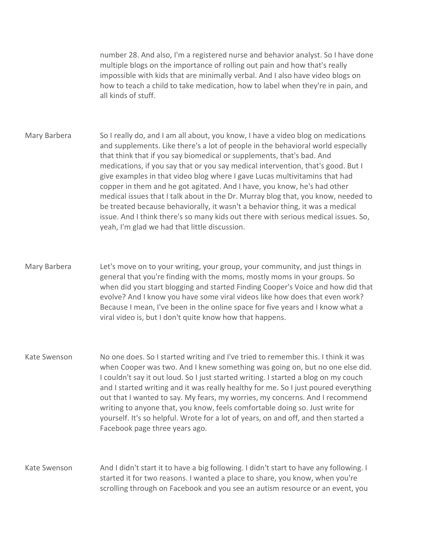number 28. And also, I'm a registered nurse and behavior analyst. So I have done multiple blogs on the importance of rolling out pain and how that's really impossible with kids that are minimally verbal. And I also have video blogs on how to teach a child to take medication, how to label when they're in pain, and all kinds of stuff.

- Mary Barbera So I really do, and I am all about, you know, I have a video blog on medications and supplements. Like there's a lot of people in the behavioral world especially that think that if you say biomedical or supplements, that's bad. And medications, if you say that or you say medical intervention, that's good. But I give examples in that video blog where I gave Lucas multivitamins that had copper in them and he got agitated. And I have, you know, he's had other medical issues that I talk about in the Dr. Murray blog that, you know, needed to be treated because behaviorally, it wasn't a behavior thing, it was a medical issue. And I think there's so many kids out there with serious medical issues. So, yeah, I'm glad we had that little discussion.
- Mary Barbera Let's move on to your writing, your group, your community, and just things in general that you're finding with the moms, mostly moms in your groups. So when did you start blogging and started Finding Cooper's Voice and how did that evolve? And I know you have some viral videos like how does that even work? Because I mean, I've been in the online space for five years and I know what a viral video is, but I don't quite know how that happens.
- Kate Swenson No one does. So I started writing and I've tried to remember this. I think it was when Cooper was two. And I knew something was going on, but no one else did. I couldn't say it out loud. So I just started writing. I started a blog on my couch and I started writing and it was really healthy for me. So I just poured everything out that I wanted to say. My fears, my worries, my concerns. And I recommend writing to anyone that, you know, feels comfortable doing so. Just write for yourself. It's so helpful. Wrote for a lot of years, on and off, and then started a Facebook page three years ago.
- Kate Swenson And I didn't start it to have a big following. I didn't start to have any following. I started it for two reasons. I wanted a place to share, you know, when you're scrolling through on Facebook and you see an autism resource or an event, you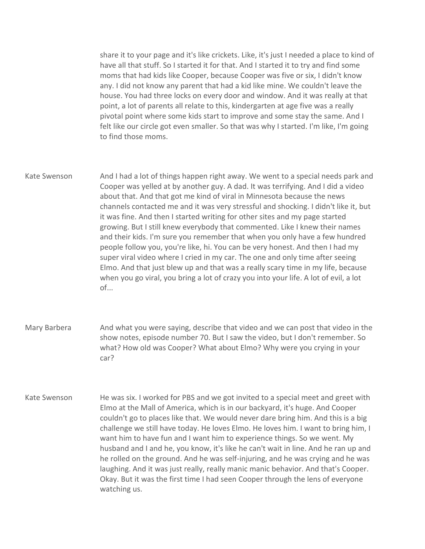share it to your page and it's like crickets. Like, it's just I needed a place to kind of have all that stuff. So I started it for that. And I started it to try and find some moms that had kids like Cooper, because Cooper was five or six, I didn't know any. I did not know any parent that had a kid like mine. We couldn't leave the house. You had three locks on every door and window. And it was really at that point, a lot of parents all relate to this, kindergarten at age five was a really pivotal point where some kids start to improve and some stay the same. And I felt like our circle got even smaller. So that was why I started. I'm like, I'm going to find those moms.

Kate Swenson And I had a lot of things happen right away. We went to a special needs park and Cooper was yelled at by another guy. A dad. It was terrifying. And I did a video about that. And that got me kind of viral in Minnesota because the news channels contacted me and it was very stressful and shocking. I didn't like it, but it was fine. And then I started writing for other sites and my page started growing. But I still knew everybody that commented. Like I knew their names and their kids. I'm sure you remember that when you only have a few hundred people follow you, you're like, hi. You can be very honest. And then I had my super viral video where I cried in my car. The one and only time after seeing Elmo. And that just blew up and that was a really scary time in my life, because when you go viral, you bring a lot of crazy you into your life. A lot of evil, a lot of...

- Mary Barbera **And what you were saying, describe that video and we can post that video in the** show notes, episode number 70. But I saw the video, but I don't remember. So what? How old was Cooper? What about Elmo? Why were you crying in your car?
- Kate Swenson He was six. I worked for PBS and we got invited to a special meet and greet with Elmo at the Mall of America, which is in our backyard, it's huge. And Cooper couldn't go to places like that. We would never dare bring him. And this is a big challenge we still have today. He loves Elmo. He loves him. I want to bring him, I want him to have fun and I want him to experience things. So we went. My husband and I and he, you know, it's like he can't wait in line. And he ran up and he rolled on the ground. And he was self-injuring, and he was crying and he was laughing. And it was just really, really manic manic behavior. And that's Cooper. Okay. But it was the first time I had seen Cooper through the lens of everyone watching us.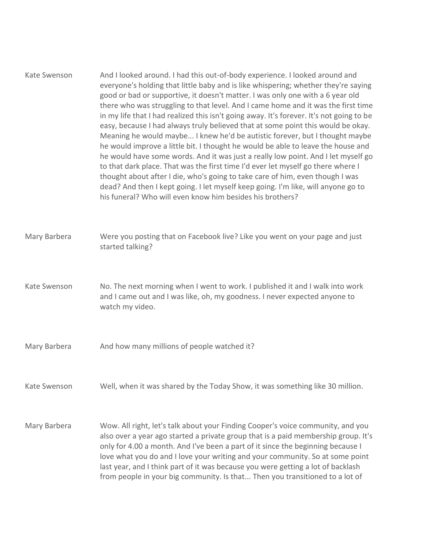| Kate Swenson | And I looked around. I had this out-of-body experience. I looked around and<br>everyone's holding that little baby and is like whispering; whether they're saying<br>good or bad or supportive, it doesn't matter. I was only one with a 6 year old<br>there who was struggling to that level. And I came home and it was the first time<br>in my life that I had realized this isn't going away. It's forever. It's not going to be<br>easy, because I had always truly believed that at some point this would be okay.<br>Meaning he would maybe I knew he'd be autistic forever, but I thought maybe<br>he would improve a little bit. I thought he would be able to leave the house and<br>he would have some words. And it was just a really low point. And I let myself go<br>to that dark place. That was the first time I'd ever let myself go there where I<br>thought about after I die, who's going to take care of him, even though I was<br>dead? And then I kept going. I let myself keep going. I'm like, will anyone go to<br>his funeral? Who will even know him besides his brothers? |
|--------------|---------------------------------------------------------------------------------------------------------------------------------------------------------------------------------------------------------------------------------------------------------------------------------------------------------------------------------------------------------------------------------------------------------------------------------------------------------------------------------------------------------------------------------------------------------------------------------------------------------------------------------------------------------------------------------------------------------------------------------------------------------------------------------------------------------------------------------------------------------------------------------------------------------------------------------------------------------------------------------------------------------------------------------------------------------------------------------------------------------|
| Mary Barbera | Were you posting that on Facebook live? Like you went on your page and just<br>started talking?                                                                                                                                                                                                                                                                                                                                                                                                                                                                                                                                                                                                                                                                                                                                                                                                                                                                                                                                                                                                         |
| Kate Swenson | No. The next morning when I went to work. I published it and I walk into work<br>and I came out and I was like, oh, my goodness. I never expected anyone to<br>watch my video.                                                                                                                                                                                                                                                                                                                                                                                                                                                                                                                                                                                                                                                                                                                                                                                                                                                                                                                          |
| Mary Barbera | And how many millions of people watched it?                                                                                                                                                                                                                                                                                                                                                                                                                                                                                                                                                                                                                                                                                                                                                                                                                                                                                                                                                                                                                                                             |
| Kate Swenson | Well, when it was shared by the Today Show, it was something like 30 million.                                                                                                                                                                                                                                                                                                                                                                                                                                                                                                                                                                                                                                                                                                                                                                                                                                                                                                                                                                                                                           |
| Mary Barbera | Wow. All right, let's talk about your Finding Cooper's voice community, and you<br>also over a year ago started a private group that is a paid membership group. It's<br>only for 4.00 a month. And I've been a part of it since the beginning because I<br>love what you do and I love your writing and your community. So at some point<br>last year, and I think part of it was because you were getting a lot of backlash<br>from people in your big community. Is that Then you transitioned to a lot of                                                                                                                                                                                                                                                                                                                                                                                                                                                                                                                                                                                           |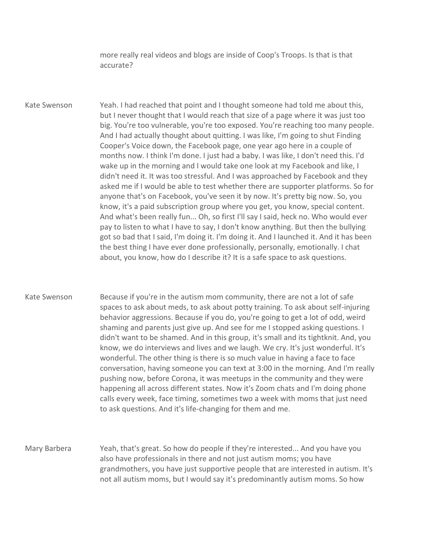more really real videos and blogs are inside of Coop's Troops. Is that is that accurate?

Kate Swenson Yeah. I had reached that point and I thought someone had told me about this, but I never thought that I would reach that size of a page where it was just too big. You're too vulnerable, you're too exposed. You're reaching too many people. And I had actually thought about quitting. I was like, I'm going to shut Finding Cooper's Voice down, the Facebook page, one year ago here in a couple of months now. I think I'm done. I just had a baby. I was like, I don't need this. I'd wake up in the morning and I would take one look at my Facebook and like, I didn't need it. It was too stressful. And I was approached by Facebook and they asked me if I would be able to test whether there are supporter platforms. So for anyone that's on Facebook, you've seen it by now. It's pretty big now. So, you know, it's a paid subscription group where you get, you know, special content. And what's been really fun... Oh, so first I'll say I said, heck no. Who would ever pay to listen to what I have to say, I don't know anything. But then the bullying got so bad that I said, I'm doing it. I'm doing it. And I launched it. And it has been the best thing I have ever done professionally, personally, emotionally. I chat about, you know, how do I describe it? It is a safe space to ask questions.

Kate Swenson Because if you're in the autism mom community, there are not a lot of safe spaces to ask about meds, to ask about potty training. To ask about self-injuring behavior aggressions. Because if you do, you're going to get a lot of odd, weird shaming and parents just give up. And see for me I stopped asking questions. I didn't want to be shamed. And in this group, it's small and its tightknit. And, you know, we do interviews and lives and we laugh. We cry. It's just wonderful. It's wonderful. The other thing is there is so much value in having a face to face conversation, having someone you can text at 3:00 in the morning. And I'm really pushing now, before Corona, it was meetups in the community and they were happening all across different states. Now it's Zoom chats and I'm doing phone calls every week, face timing, sometimes two a week with moms that just need to ask questions. And it's life-changing for them and me.

Mary Barbera Yeah, that's great. So how do people if they're interested... And you have you also have professionals in there and not just autism moms; you have grandmothers, you have just supportive people that are interested in autism. It's not all autism moms, but I would say it's predominantly autism moms. So how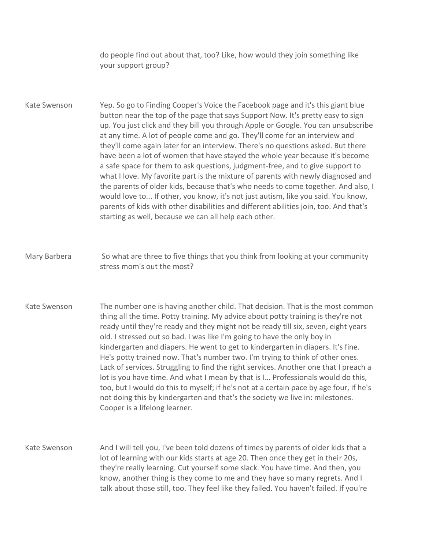do people find out about that, too? Like, how would they join something like your support group?

Kate Swenson Yep. So go to Finding Cooper's Voice the Facebook page and it's this giant blue button near the top of the page that says Support Now. It's pretty easy to sign up. You just click and they bill you through Apple or Google. You can unsubscribe at any time. A lot of people come and go. They'll come for an interview and they'll come again later for an interview. There's no questions asked. But there have been a lot of women that have stayed the whole year because it's become a safe space for them to ask questions, judgment-free, and to give support to what I love. My favorite part is the mixture of parents with newly diagnosed and the parents of older kids, because that's who needs to come together. And also, I would love to... If other, you know, it's not just autism, like you said. You know, parents of kids with other disabilities and different abilities join, too. And that's starting as well, because we can all help each other.

Mary Barbera So what are three to five things that you think from looking at your community stress mom's out the most?

Kate Swenson The number one is having another child. That decision. That is the most common thing all the time. Potty training. My advice about potty training is they're not ready until they're ready and they might not be ready till six, seven, eight years old. I stressed out so bad. I was like I'm going to have the only boy in kindergarten and diapers. He went to get to kindergarten in diapers. It's fine. He's potty trained now. That's number two. I'm trying to think of other ones. Lack of services. Struggling to find the right services. Another one that I preach a lot is you have time. And what I mean by that is I... Professionals would do this, too, but I would do this to myself; if he's not at a certain pace by age four, if he's not doing this by kindergarten and that's the society we live in: milestones. Cooper is a lifelong learner.

Kate Swenson And I will tell you, I've been told dozens of times by parents of older kids that a lot of learning with our kids starts at age 20. Then once they get in their 20s, they're really learning. Cut yourself some slack. You have time. And then, you know, another thing is they come to me and they have so many regrets. And I talk about those still, too. They feel like they failed. You haven't failed. If you're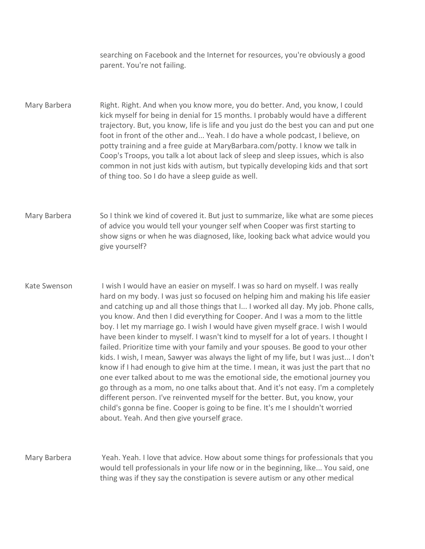searching on Facebook and the Internet for resources, you're obviously a good parent. You're not failing.

Mary Barbera Right. Right. And when you know more, you do better. And, you know, I could kick myself for being in denial for 15 months. I probably would have a different trajectory. But, you know, life is life and you just do the best you can and put one foot in front of the other and... Yeah. I do have a whole podcast, I believe, on potty training and a free guide at MaryBarbara.com/potty. I know we talk in Coop's Troops, you talk a lot about lack of sleep and sleep issues, which is also common in not just kids with autism, but typically developing kids and that sort of thing too. So I do have a sleep guide as well.

Mary Barbera So I think we kind of covered it. But just to summarize, like what are some pieces of advice you would tell your younger self when Cooper was first starting to show signs or when he was diagnosed, like, looking back what advice would you give yourself?

Kate Swenson I wish I would have an easier on myself. I was so hard on myself. I was really hard on my body. I was just so focused on helping him and making his life easier and catching up and all those things that I... I worked all day. My job. Phone calls, you know. And then I did everything for Cooper. And I was a mom to the little boy. I let my marriage go. I wish I would have given myself grace. I wish I would have been kinder to myself. I wasn't kind to myself for a lot of years. I thought I failed. Prioritize time with your family and your spouses. Be good to your other kids. I wish, I mean, Sawyer was always the light of my life, but I was just... I don't know if I had enough to give him at the time. I mean, it was just the part that no one ever talked about to me was the emotional side, the emotional journey you go through as a mom, no one talks about that. And it's not easy. I'm a completely different person. I've reinvented myself for the better. But, you know, your child's gonna be fine. Cooper is going to be fine. It's me I shouldn't worried about. Yeah. And then give yourself grace.

Mary Barbera Yeah. Yeah. I love that advice. How about some things for professionals that you would tell professionals in your life now or in the beginning, like... You said, one thing was if they say the constipation is severe autism or any other medical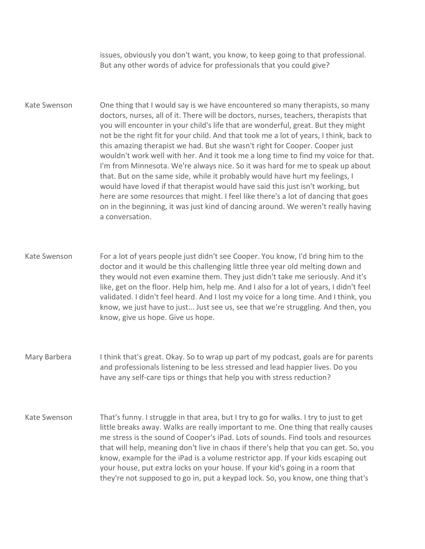issues, obviously you don't want, you know, to keep going to that professional. But any other words of advice for professionals that you could give?

- Kate Swenson **One thing that I would say is we have encountered so many therapists, so many** doctors, nurses, all of it. There will be doctors, nurses, teachers, therapists that you will encounter in your child's life that are wonderful, great. But they might not be the right fit for your child. And that took me a lot of years, I think, back to this amazing therapist we had. But she wasn't right for Cooper. Cooper just wouldn't work well with her. And it took me a long time to find my voice for that. I'm from Minnesota. We're always nice. So it was hard for me to speak up about that. But on the same side, while it probably would have hurt my feelings, I would have loved if that therapist would have said this just isn't working, but here are some resources that might. I feel like there's a lot of dancing that goes on in the beginning, it was just kind of dancing around. We weren't really having a conversation.
- Kate Swenson For a lot of years people just didn't see Cooper. You know, I'd bring him to the doctor and it would be this challenging little three year old melting down and they would not even examine them. They just didn't take me seriously. And it's like, get on the floor. Help him, help me. And I also for a lot of years, I didn't feel validated. I didn't feel heard. And I lost my voice for a long time. And I think, you know, we just have to just... Just see us, see that we're struggling. And then, you know, give us hope. Give us hope.
- Mary Barbera I think that's great. Okay. So to wrap up part of my podcast, goals are for parents and professionals listening to be less stressed and lead happier lives. Do you have any self-care tips or things that help you with stress reduction?
- Kate Swenson That's funny. I struggle in that area, but I try to go for walks. I try to just to get little breaks away. Walks are really important to me. One thing that really causes me stress is the sound of Cooper's iPad. Lots of sounds. Find tools and resources that will help, meaning don't live in chaos if there's help that you can get. So, you know, example for the iPad is a volume restrictor app. If your kids escaping out your house, put extra locks on your house. If your kid's going in a room that they're not supposed to go in, put a keypad lock. So, you know, one thing that's